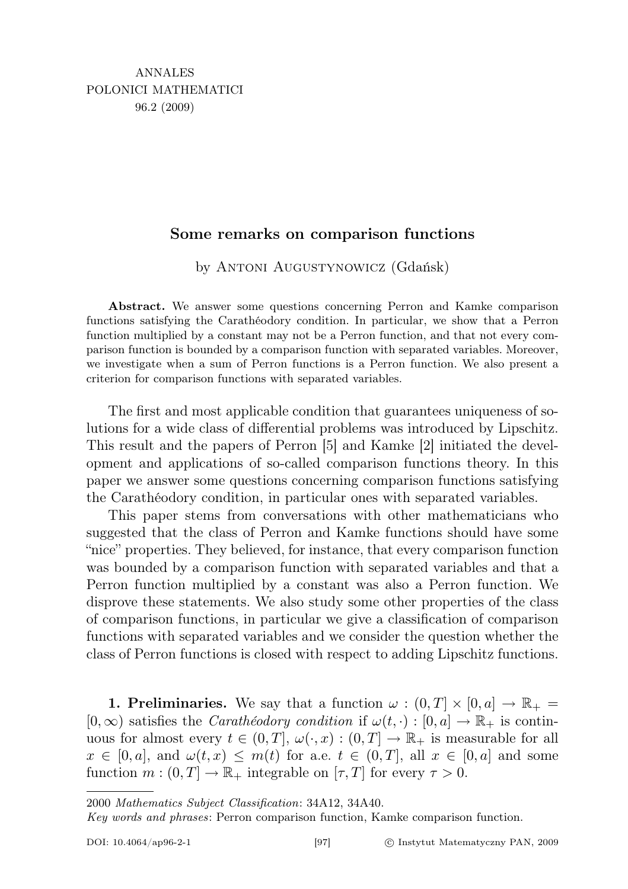## Some remarks on comparison functions

by Antoni Augustynowicz (Gdańsk)

Abstract. We answer some questions concerning Perron and Kamke comparison functions satisfying the Carathéodory condition. In particular, we show that a Perron function multiplied by a constant may not be a Perron function, and that not every comparison function is bounded by a comparison function with separated variables. Moreover, we investigate when a sum of Perron functions is a Perron function. We also present a criterion for comparison functions with separated variables.

The first and most applicable condition that guarantees uniqueness of solutions for a wide class of differential problems was introduced by Lipschitz. This result and the papers of Perron [5] and Kamke [2] initiated the development and applications of so-called comparison functions theory. In this paper we answer some questions concerning comparison functions satisfying the Carathéodory condition, in particular ones with separated variables.

This paper stems from conversations with other mathematicians who suggested that the class of Perron and Kamke functions should have some "nice" properties. They believed, for instance, that every comparison function was bounded by a comparison function with separated variables and that a Perron function multiplied by a constant was also a Perron function. We disprove these statements. We also study some other properties of the class of comparison functions, in particular we give a classification of comparison functions with separated variables and we consider the question whether the class of Perron functions is closed with respect to adding Lipschitz functions.

**1. Preliminaries.** We say that a function  $\omega : (0, T] \times [0, a] \rightarrow \mathbb{R}_+$  $[0, \infty)$  satisfies the *Carathéodory condition* if  $\omega(t, \cdot) : [0, a] \to \mathbb{R}_+$  is continuous for almost every  $t \in (0,T], \omega(\cdot,x): (0,T] \to \mathbb{R}_+$  is measurable for all  $x \in [0, a],$  and  $\omega(t, x) \leq m(t)$  for a.e.  $t \in (0, T],$  all  $x \in [0, a]$  and some function  $m:(0,T] \to \mathbb{R}_+$  integrable on  $[\tau, T]$  for every  $\tau > 0$ .

<sup>2000</sup> Mathematics Subject Classification: 34A12, 34A40.

Key words and phrases: Perron comparison function, Kamke comparison function.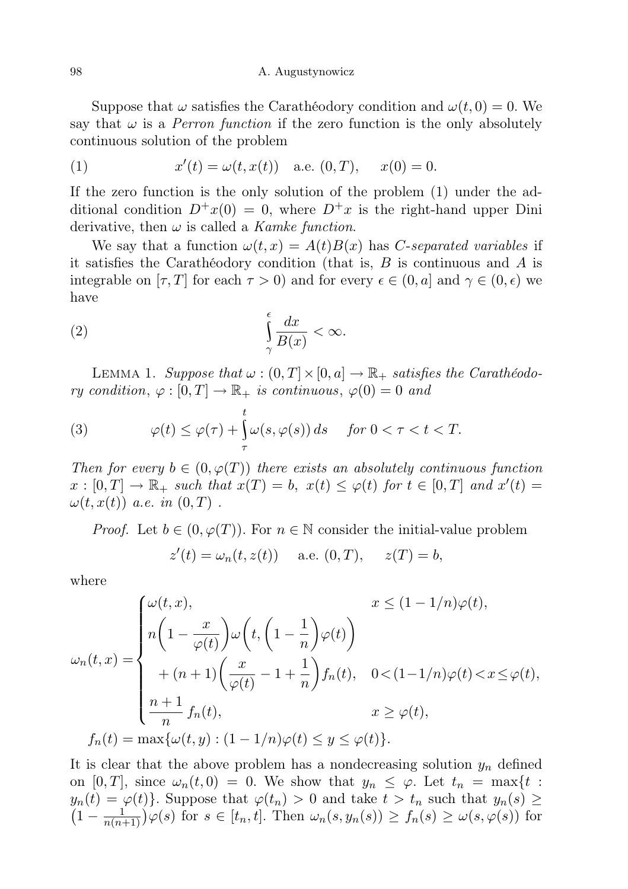Suppose that  $\omega$  satisfies the Carathéodory condition and  $\omega(t, 0) = 0$ . We say that  $\omega$  is a *Perron function* if the zero function is the only absolutely continuous solution of the problem

(1) 
$$
x'(t) = \omega(t, x(t))
$$
 a.e.  $(0, T)$ ,  $x(0) = 0$ .

If the zero function is the only solution of the problem (1) under the additional condition  $D^+x(0) = 0$ , where  $D^+x$  is the right-hand upper Dini derivative, then  $\omega$  is called a *Kamke function*.

We say that a function  $\omega(t, x) = A(t)B(x)$  has C-separated variables if it satisfies the Carathéodory condition (that is,  $B$  is continuous and  $A$  is integrable on  $[\tau, T]$  for each  $\tau > 0$ ) and for every  $\epsilon \in (0, a]$  and  $\gamma \in (0, \epsilon)$  we have

$$
\int_{\gamma}^{\epsilon} \frac{dx}{B(x)} < \infty.
$$

LEMMA 1. Suppose that  $\omega : (0, T] \times [0, a] \rightarrow \mathbb{R}_+$  satisfies the Carathéodory condition,  $\varphi : [0, T] \to \mathbb{R}_+$  is continuous,  $\varphi(0) = 0$  and

(3) 
$$
\varphi(t) \leq \varphi(\tau) + \int_{\tau}^{t} \omega(s, \varphi(s)) ds \quad \text{for } 0 < \tau < t < T.
$$

Then for every  $b \in (0, \varphi(T))$  there exists an absolutely continuous function  $x: [0,T] \to \mathbb{R}_+$  such that  $x(T) = b$ ,  $x(t) \leq \varphi(t)$  for  $t \in [0,T]$  and  $x'(t) =$  $\omega(t, x(t))$  a.e. in  $(0, T)$ .

*Proof.* Let  $b \in (0, \varphi(T))$ . For  $n \in \mathbb{N}$  consider the initial-value problem

$$
z'(t) = \omega_n(t, z(t))
$$
 a.e.  $(0, T), z(T) = b,$ 

where

$$
\omega_n(t,x) = \begin{cases}\n\omega(t,x), & x \le (1 - 1/n)\varphi(t), \\
n\left(1 - \frac{x}{\varphi(t)}\right)\omega\left(t, \left(1 - \frac{1}{n}\right)\varphi(t)\right) \\
+ (n+1)\left(\frac{x}{\varphi(t)} - 1 + \frac{1}{n}\right)f_n(t), & 0 < (1 - 1/n)\varphi(t) < x \le \varphi(t), \\
\frac{n+1}{n}f_n(t), & x \ge \varphi(t), \\
f_n(t) = \max\{\omega(t,y) : (1 - 1/n)\varphi(t) \le y \le \varphi(t)\}.\n\end{cases}
$$

It is clear that the above problem has a nondecreasing solution  $y_n$  defined on [0, T], since  $\omega_n(t,0) = 0$ . We show that  $y_n \leq \varphi$ . Let  $t_n = \max\{t :$  $y_n(t) = \varphi(t)$ . Suppose that  $\varphi(t_n) > 0$  and take  $t > t_n$  such that  $y_n(s) \ge$  $\left(1-\frac{1}{n(n-1)}\right)$  $\frac{1}{n(n+1)}$   $\varphi(s)$  for  $s \in [t_n, t]$ . Then  $\omega_n(s, y_n(s)) \ge f_n(s) \ge \omega(s, \varphi(s))$  for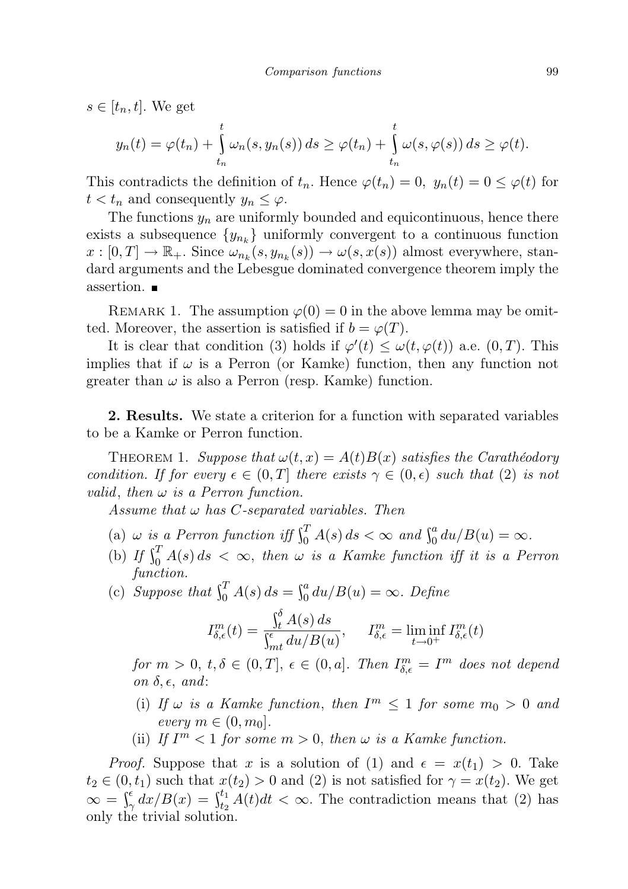$s \in [t_n, t]$ . We get

$$
y_n(t) = \varphi(t_n) + \int\limits_{t_n}^t \omega_n(s, y_n(s)) ds \geq \varphi(t_n) + \int\limits_{t_n}^t \omega(s, \varphi(s)) ds \geq \varphi(t).
$$

This contradicts the definition of  $t_n$ . Hence  $\varphi(t_n) = 0$ ,  $y_n(t) = 0 \leq \varphi(t)$  for  $t < t_n$  and consequently  $y_n \leq \varphi$ .

The functions  $y_n$  are uniformly bounded and equicontinuous, hence there exists a subsequence  $\{y_{n_k}\}\$  uniformly convergent to a continuous function  $x: [0,T] \to \mathbb{R}_+$ . Since  $\omega_{n_k}(s, y_{n_k}(s)) \to \omega(s, x(s))$  almost everywhere, standard arguments and the Lebesgue dominated convergence theorem imply the assertion.

REMARK 1. The assumption  $\varphi(0) = 0$  in the above lemma may be omitted. Moreover, the assertion is satisfied if  $b = \varphi(T)$ .

It is clear that condition (3) holds if  $\varphi'(t) \leq \omega(t, \varphi(t))$  a.e.  $(0, T)$ . This implies that if  $\omega$  is a Perron (or Kamke) function, then any function not greater than  $\omega$  is also a Perron (resp. Kamke) function.

2. Results. We state a criterion for a function with separated variables to be a Kamke or Perron function.

THEOREM 1. Suppose that  $\omega(t, x) = A(t)B(x)$  satisfies the Caratheodory condition. If for every  $\epsilon \in (0,T]$  there exists  $\gamma \in (0,\epsilon)$  such that (2) is not valid, then  $\omega$  is a Perron function.

Assume that  $\omega$  has C-separated variables. Then

- (a)  $\omega$  is a Perron function iff  $\int_0^T A(s) ds < \infty$  and  $\int_0^a du/B(u) = \infty$ .
- (b) If  $\int_0^T A(s) ds < \infty$ , then  $\omega$  is a Kamke function iff it is a Perron function.
- (c) Suppose that  $\int_0^T A(s) ds = \int_0^a du / B(u) = \infty$ . Define

$$
I_{\delta,\epsilon}^m(t) = \frac{\int_t^{\delta} A(s) ds}{\int_{mt}^{\epsilon} du / B(u)}, \quad I_{\delta,\epsilon}^m = \liminf_{t \to 0^+} I_{\delta,\epsilon}^m(t)
$$

for  $m > 0$ ,  $t, \delta \in (0, T]$ ,  $\epsilon \in (0, a]$ . Then  $I_{\delta, \epsilon}^m = I^m$  does not depend on  $\delta, \epsilon,$  and:

- (i) If  $\omega$  is a Kamke function, then  $I^m \leq 1$  for some  $m_0 > 0$  and every  $m \in (0, m_0]$ .
- (ii) If  $I<sup>m</sup> < 1$  for some  $m > 0$ , then  $\omega$  is a Kamke function.

*Proof.* Suppose that x is a solution of (1) and  $\epsilon = x(t_1) > 0$ . Take  $t_2 \in (0, t_1)$  such that  $x(t_2) > 0$  and (2) is not satisfied for  $\gamma = x(t_2)$ . We get  $\infty = \int_{\gamma}^{\epsilon} dx/B(x) = \int_{t_2}^{t_1} A(t)dt < \infty$ . The contradiction means that (2) has only the trivial solution.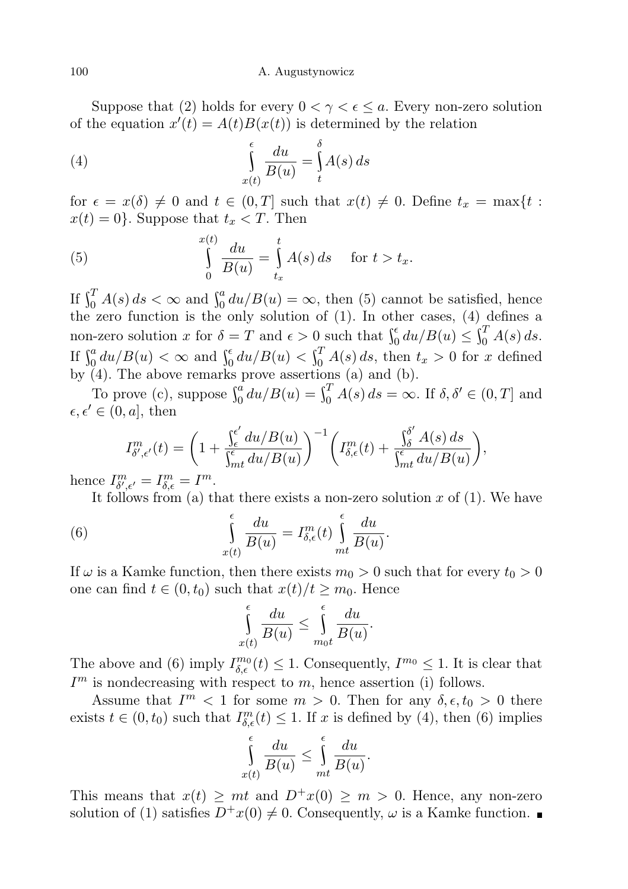Suppose that (2) holds for every  $0 < \gamma < \epsilon \leq a$ . Every non-zero solution of the equation  $x'(t) = A(t)B(x(t))$  is determined by the relation

(4) 
$$
\int_{x(t)}^{\epsilon} \frac{du}{B(u)} = \int_{t}^{\delta} A(s) ds
$$

for  $\epsilon = x(\delta) \neq 0$  and  $t \in (0,T]$  such that  $x(t) \neq 0$ . Define  $t_x = \max\{t :$  $x(t) = 0$ . Suppose that  $t_x < T$ . Then

(5) 
$$
\int_{0}^{x(t)} \frac{du}{B(u)} = \int_{t_x}^{t} A(s) ds \quad \text{for } t > t_x.
$$

If  $\int_0^T A(s) ds < \infty$  and  $\int_0^a du / B(u) = \infty$ , then (5) cannot be satisfied, hence the zero function is the only solution of (1). In other cases, (4) defines a non-zero solution x for  $\delta = T$  and  $\epsilon > 0$  such that  $\int_0^{\epsilon} du/B(u) \leq \int_0^T A(s) ds$ . If  $\int_0^a du/B(u) < \infty$  and  $\int_0^{\epsilon} du/B(u) < \int_0^T A(s) ds$ , then  $t_x > 0$  for x defined by (4). The above remarks prove assertions (a) and (b).

To prove (c), suppose  $\int_0^a du/B(u) = \int_0^T A(s) ds = \infty$ . If  $\delta, \delta' \in (0, T]$  and  $\epsilon, \epsilon' \in (0, a],$  then

$$
I_{\delta',\epsilon'}^m(t) = \left(1 + \frac{\int_{\epsilon}^{\epsilon'} du/B(u)}{\int_{\epsilon''\epsilon}^{\epsilon} du/B(u)}\right)^{-1} \left(I_{\delta,\epsilon}^m(t) + \frac{\int_{\delta}^{\delta'} A(s) ds}{\int_{\epsilon''\epsilon}^{\epsilon'} du/B(u)}\right),
$$

hence  $I^m_{\delta',\epsilon'}=I^m_{\delta,\epsilon}=I^m$ .

It follows from (a) that there exists a non-zero solution  $x$  of (1). We have

(6) 
$$
\int_{x(t)}^{\epsilon} \frac{du}{B(u)} = I_{\delta,\epsilon}^m(t) \int_{mt}^{\epsilon} \frac{du}{B(u)}.
$$

If  $\omega$  is a Kamke function, then there exists  $m_0 > 0$  such that for every  $t_0 > 0$ one can find  $t \in (0, t_0)$  such that  $x(t)/t \geq m_0$ . Hence

$$
\int_{x(t)}^{\epsilon} \frac{du}{B(u)} \le \int_{m_0 t}^{\epsilon} \frac{du}{B(u)}.
$$

The above and (6) imply  $I_{\delta,\epsilon}^{m_0}(t) \leq 1$ . Consequently,  $I^{m_0} \leq 1$ . It is clear that  $I<sup>m</sup>$  is nondecreasing with respect to m, hence assertion (i) follows.

Assume that  $I^m < 1$  for some  $m > 0$ . Then for any  $\delta, \epsilon, t_0 > 0$  there exists  $t \in (0, t_0)$  such that  $I_{\delta, \epsilon}^m(t) \leq 1$ . If x is defined by (4), then (6) implies

$$
\int_{x(t)}^{\epsilon} \frac{du}{B(u)} \le \int_{mt}^{\epsilon} \frac{du}{B(u)}.
$$

This means that  $x(t) \geq mt$  and  $D^+x(0) \geq m > 0$ . Hence, any non-zero solution of (1) satisfies  $D^+x(0) \neq 0$ . Consequently,  $\omega$  is a Kamke function.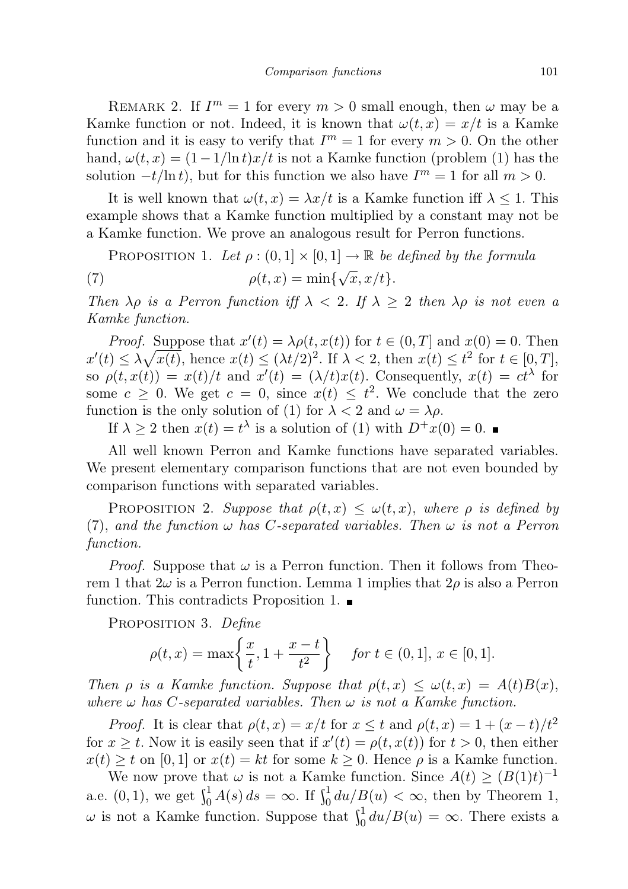REMARK 2. If  $I^m = 1$  for every  $m > 0$  small enough, then  $\omega$  may be a Kamke function or not. Indeed, it is known that  $\omega(t, x) = x/t$  is a Kamke function and it is easy to verify that  $I^m = 1$  for every  $m > 0$ . On the other hand,  $\omega(t, x) = (1 - 1/\ln t)x/t$  is not a Kamke function (problem (1) has the solution  $-t/\ln t$ , but for this function we also have  $I^m = 1$  for all  $m > 0$ .

It is well known that  $\omega(t, x) = \lambda x/t$  is a Kamke function iff  $\lambda \leq 1$ . This example shows that a Kamke function multiplied by a constant may not be a Kamke function. We prove an analogous result for Perron functions.

PROPOSITION 1. Let  $\rho : (0,1] \times [0,1] \rightarrow \mathbb{R}$  be defined by the formula (7)  $\rho(t, x) = \min\{$  $^{\prime}$  $\overline{x}, x/t$ .

Then  $\lambda \rho$  is a Perron function iff  $\lambda < 2$ . If  $\lambda \geq 2$  then  $\lambda \rho$  is not even a Kamke function.

*Proof.* Suppose that  $x'(t) = \lambda \rho(t, x(t))$  for  $t \in (0, T]$  and  $x(0) = 0$ . Then  $x'(t) \leq \lambda \sqrt{x(t)}$ , hence  $x(t) \leq (\lambda t/2)^2$ . If  $\lambda < 2$ , then  $x(t) \leq t^2$  for  $t \in [0, T]$ , so  $\rho(t, x(t)) = x(t)/t$  and  $x'(t) = (\lambda/t)x(t)$ . Consequently,  $x(t) = ct^{\lambda}$  for some  $c \geq 0$ . We get  $c = 0$ , since  $x(t) \leq t^2$ . We conclude that the zero function is the only solution of (1) for  $\lambda < 2$  and  $\omega = \lambda \rho$ .

If  $\lambda \geq 2$  then  $x(t) = t^{\lambda}$  is a solution of (1) with  $D^+x(0) = 0$ .

All well known Perron and Kamke functions have separated variables. We present elementary comparison functions that are not even bounded by comparison functions with separated variables.

PROPOSITION 2. Suppose that  $\rho(t,x) \leq \omega(t,x)$ , where  $\rho$  is defined by (7), and the function  $\omega$  has C-separated variables. Then  $\omega$  is not a Perron function.

*Proof.* Suppose that  $\omega$  is a Perron function. Then it follows from Theorem 1 that  $2\omega$  is a Perron function. Lemma 1 implies that  $2\rho$  is also a Perron function. This contradicts Proposition 1.  $\blacksquare$ 

PROPOSITION 3. Define

$$
\rho(t, x) = \max\left\{\frac{x}{t}, 1 + \frac{x - t}{t^2}\right\} \quad \text{for } t \in (0, 1], \, x \in [0, 1].
$$

Then  $\rho$  is a Kamke function. Suppose that  $\rho(t,x) \leq \omega(t,x) = A(t)B(x)$ , where  $\omega$  has C-separated variables. Then  $\omega$  is not a Kamke function.

*Proof.* It is clear that  $\rho(t, x) = x/t$  for  $x \leq t$  and  $\rho(t, x) = 1 + (x - t)/t^2$ for  $x \geq t$ . Now it is easily seen that if  $x'(t) = \rho(t, x(t))$  for  $t > 0$ , then either  $x(t) \geq t$  on [0, 1] or  $x(t) = kt$  for some  $k \geq 0$ . Hence  $\rho$  is a Kamke function.

We now prove that  $\omega$  is not a Kamke function. Since  $A(t) \geq (B(1)t)^{-1}$ a.e.  $(0,1)$ , we get  $\int_0^1 A(s) ds = \infty$ . If  $\int_0^1 du/B(u) < \infty$ , then by Theorem 1,  $\omega$  is not a Kamke function. Suppose that  $\int_0^1 du/B(u) = \infty$ . There exists a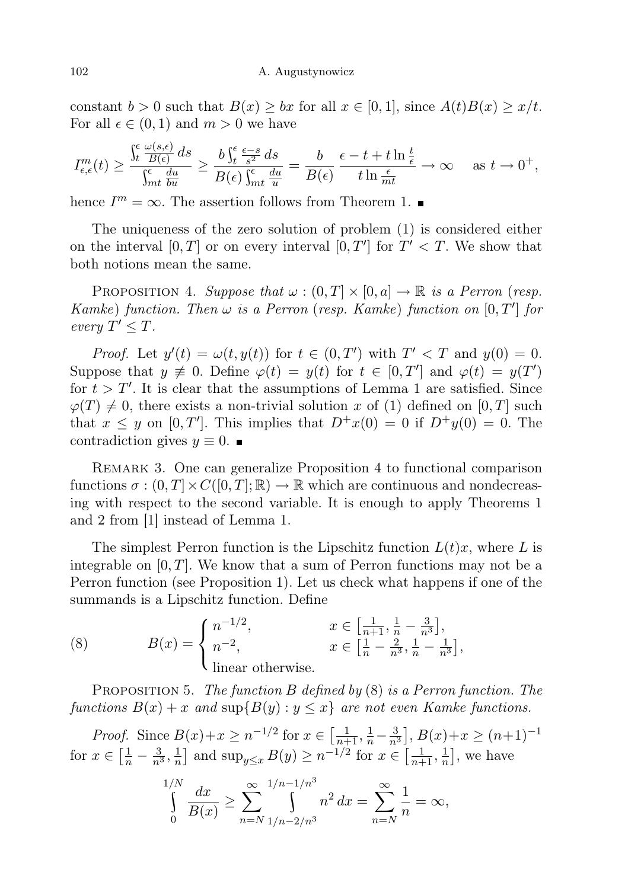constant  $b > 0$  such that  $B(x) \ge bx$  for all  $x \in [0, 1]$ , since  $A(t)B(x) \ge x/t$ . For all  $\epsilon \in (0,1)$  and  $m > 0$  we have

$$
I_{\epsilon,\epsilon}^m(t) \ge \frac{\int_t^\epsilon \frac{\omega(s,\epsilon)}{B(\epsilon)}\,ds}{\int_{mt}^\epsilon \frac{du}{bu}} \ge \frac{b\int_t^\epsilon \frac{\epsilon-s}{s^2}\,ds}{B(\epsilon)\int_{mt}^\epsilon \frac{du}{u}} = \frac{b}{B(\epsilon)} \frac{\epsilon-t+t\ln\frac{t}{\epsilon}}{t\ln\frac{\epsilon}{mt}} \to \infty \quad \text{as } t \to 0^+,
$$

hence  $I^m = \infty$ . The assertion follows from Theorem 1.

The uniqueness of the zero solution of problem (1) is considered either on the interval  $[0, T]$  or on every interval  $[0, T']$  for  $T' < T$ . We show that both notions mean the same.

PROPOSITION 4. Suppose that  $\omega : (0, T] \times [0, a] \rightarrow \mathbb{R}$  is a Perron (resp. Kamke) function. Then  $\omega$  is a Perron (resp. Kamke) function on  $[0, T']$  for every  $T' \leq T$ .

*Proof.* Let  $y'(t) = \omega(t, y(t))$  for  $t \in (0, T')$  with  $T' < T$  and  $y(0) = 0$ . Suppose that  $y \neq 0$ . Define  $\varphi(t) = y(t)$  for  $t \in [0, T']$  and  $\varphi(t) = y(T')$ for  $t > T'$ . It is clear that the assumptions of Lemma 1 are satisfied. Since  $\varphi(T) \neq 0$ , there exists a non-trivial solution x of (1) defined on [0, T] such that  $x \leq y$  on [0, T']. This implies that  $D^+x(0) = 0$  if  $D^+y(0) = 0$ . The contradiction gives  $y \equiv 0$ .

REMARK 3. One can generalize Proposition 4 to functional comparison functions  $\sigma : (0, T] \times C([0, T]; \mathbb{R}) \to \mathbb{R}$  which are continuous and nondecreasing with respect to the second variable. It is enough to apply Theorems 1 and 2 from [1] instead of Lemma 1.

The simplest Perron function is the Lipschitz function  $L(t)x$ , where L is integrable on  $[0, T]$ . We know that a sum of Perron functions may not be a Perron function (see Proposition 1). Let us check what happens if one of the summands is a Lipschitz function. Define

(8) 
$$
B(x) = \begin{cases} n^{-1/2}, & x \in \left[\frac{1}{n+1}, \frac{1}{n} - \frac{3}{n^3}\right], \\ n^{-2}, & x \in \left[\frac{1}{n} - \frac{2}{n^3}, \frac{1}{n} - \frac{1}{n^3}\right], \\ \text{linear otherwise.} \end{cases}
$$

PROPOSITION 5. The function B defined by  $(8)$  is a Perron function. The functions  $B(x) + x$  and  $\sup\{B(y) : y \leq x\}$  are not even Kamke functions.

*Proof.* Since  $B(x)+x \geq n^{-1/2}$  for  $x \in \left[\frac{1}{n+1}, \frac{1}{n}-\frac{3}{n^3}\right]$ ,  $B(x)+x \geq (n+1)^{-1}$ for  $x \in \left[\frac{1}{n} - \frac{3}{n^3}, \frac{1}{n}\right]$  $\frac{1}{n}$  and sup<sub>y $\leq x$ </sub>  $B(y) \geq n^{-1/2}$  for  $x \in \left[\frac{1}{n+1}, \frac{1}{n}\right]$  $\frac{1}{n}$ , we have

$$
\int_{0}^{1/N} \frac{dx}{B(x)} \ge \sum_{n=N}^{\infty} \int_{1/n-2/n^3}^{1/n-1/n^3} n^2 dx = \sum_{n=N}^{\infty} \frac{1}{n} = \infty,
$$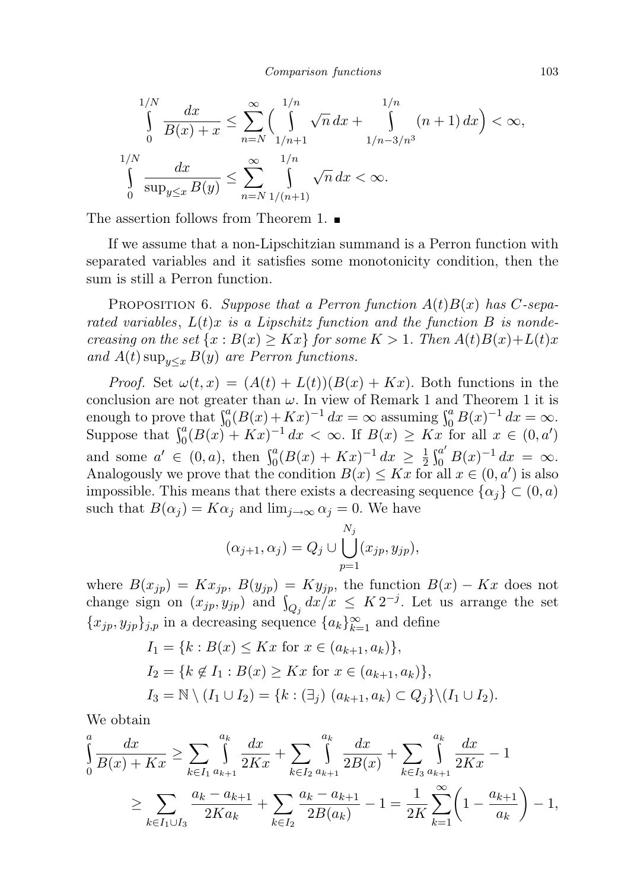$$
\int_{0}^{1/N} \frac{dx}{B(x) + x} \le \sum_{n=N}^{\infty} \left( \int_{1/n+1}^{1/n} \sqrt{n} \, dx + \int_{1/n-3/n^3}^{1/n} (n+1) \, dx \right) < \infty,
$$
  

$$
\int_{0}^{1/N} \frac{dx}{\sup_{y \le x} B(y)} \le \sum_{n=N}^{\infty} \int_{1/(n+1)}^{1/n} \sqrt{n} \, dx < \infty.
$$

The assertion follows from Theorem 1.

If we assume that a non-Lipschitzian summand is a Perron function with separated variables and it satisfies some monotonicity condition, then the sum is still a Perron function.

PROPOSITION 6. Suppose that a Perron function  $A(t)B(x)$  has C-separated variables,  $L(t)x$  is a Lipschitz function and the function B is nondecreasing on the set  $\{x : B(x) \geq Kx\}$  for some  $K > 1$ . Then  $A(t)B(x)+L(t)x$ and  $A(t)$  sup<sub> $y \leq x$ </sub>  $B(y)$  are Perron functions.

*Proof.* Set  $\omega(t, x) = (A(t) + L(t))(B(x) + Kx)$ . Both functions in the conclusion are not greater than  $\omega$ . In view of Remark 1 and Theorem 1 it is enough to prove that  $\int_0^a (B(x) + Kx)^{-1} dx = \infty$  assuming  $\int_0^a B(x)^{-1} dx = \infty$ . Suppose that  $\int_0^a (B(x) + Kx)^{-1} dx < \infty$ . If  $B(x) \geq Kx$  for all  $x \in (0, a')$ and some  $a' \in (0, a)$ , then  $\int_0^a (B(x) + Kx)^{-1} dx \ge \frac{1}{2}$  $\frac{1}{2} \int_0^{a'} B(x)^{-1} dx = \infty.$ Analogously we prove that the condition  $B(x) \leq Kx$  for all  $x \in (0, a')$  is also impossible. This means that there exists a decreasing sequence  $\{\alpha_i\} \subset (0, a)$ such that  $B(\alpha_j) = K\alpha_j$  and  $\lim_{j\to\infty} \alpha_j = 0$ . We have

$$
(\alpha_{j+1}, \alpha_j) = Q_j \cup \bigcup_{p=1}^{N_j} (x_{jp}, y_{jp}),
$$

where  $B(x_{jp}) = Kx_{jp}, B(y_{jp}) = Ky_{jp},$  the function  $B(x) - Kx$  does not change sign on  $(x_{jp}, y_{jp})$  and  $\int_{Q_j} dx/x \leq K 2^{-j}$ . Let us arrange the set  ${x_{jp}, y_{jp}}_{j,p}$  in a decreasing sequence  ${a_k}_{k=1}^{\infty}$  and define

$$
I_1 = \{k : B(x) \le Kx \text{ for } x \in (a_{k+1}, a_k)\},
$$
  
\n
$$
I_2 = \{k \notin I_1 : B(x) \ge Kx \text{ for } x \in (a_{k+1}, a_k)\},
$$
  
\n
$$
I_3 = \mathbb{N} \setminus (I_1 \cup I_2) = \{k : (\exists_j) (a_{k+1}, a_k) \subset Q_j\} \setminus (I_1 \cup I_2).
$$

We obtain

$$
\int_{0}^{a} \frac{dx}{B(x) + Kx} \ge \sum_{k \in I_1} \int_{a_{k+1}}^{a_k} \frac{dx}{2Kx} + \sum_{k \in I_2} \int_{a_{k+1}}^{a_k} \frac{dx}{2B(x)} + \sum_{k \in I_3} \int_{a_{k+1}}^{a_k} \frac{dx}{2Kx} - 1
$$
\n
$$
\ge \sum_{k \in I_1 \cup I_3} \frac{a_k - a_{k+1}}{2Ka_k} + \sum_{k \in I_2} \frac{a_k - a_{k+1}}{2B(a_k)} - 1 = \frac{1}{2K} \sum_{k=1}^{\infty} \left(1 - \frac{a_{k+1}}{a_k}\right) - 1,
$$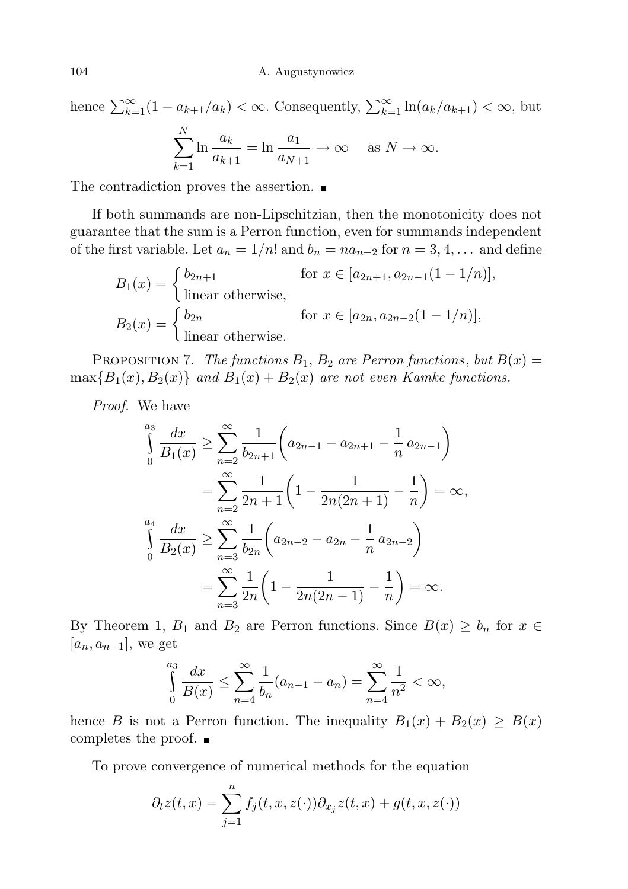hence  $\sum_{k=1}^{\infty} (1 - a_{k+1}/a_k) < \infty$ . Consequently,  $\sum_{k=1}^{\infty} \ln(a_k/a_{k+1}) < \infty$ , but  $\sum$ N  $_{k=1}$  $\ln \frac{a_k}{a_k}$  $a_{k+1}$  $=\ln \frac{a_1}{a_2}$  $\frac{\omega_1}{a_{N+1}} \to \infty \quad \text{as } N \to \infty.$ 

The contradiction proves the assertion.

If both summands are non-Lipschitzian, then the monotonicity does not guarantee that the sum is a Perron function, even for summands independent of the first variable. Let  $a_n = 1/n!$  and  $b_n = na_{n-2}$  for  $n = 3, 4, \ldots$  and define

$$
B_1(x) = \begin{cases} b_{2n+1} & \text{for } x \in [a_{2n+1}, a_{2n-1}(1-1/n)], \\ \text{linear otherwise,} \end{cases}
$$
  
\n
$$
B_2(x) = \begin{cases} b_{2n} & \text{for } x \in [a_{2n}, a_{2n-2}(1-1/n)], \\ \text{linear otherwise.} \end{cases}
$$

PROPOSITION 7. The functions  $B_1$ ,  $B_2$  are Perron functions, but  $B(x) =$  $\max\{B_1(x), B_2(x)\}\$  and  $B_1(x) + B_2(x)$  are not even Kamke functions.

Proof. We have

$$
\int_{0}^{a_3} \frac{dx}{B_1(x)} \ge \sum_{n=2}^{\infty} \frac{1}{b_{2n+1}} \left( a_{2n-1} - a_{2n+1} - \frac{1}{n} a_{2n-1} \right)
$$
  
= 
$$
\sum_{n=2}^{\infty} \frac{1}{2n+1} \left( 1 - \frac{1}{2n(2n+1)} - \frac{1}{n} \right) = \infty,
$$
  

$$
\int_{0}^{a_4} \frac{dx}{B_2(x)} \ge \sum_{n=3}^{\infty} \frac{1}{b_{2n}} \left( a_{2n-2} - a_{2n} - \frac{1}{n} a_{2n-2} \right)
$$
  
= 
$$
\sum_{n=3}^{\infty} \frac{1}{2n} \left( 1 - \frac{1}{2n(2n-1)} - \frac{1}{n} \right) = \infty.
$$

By Theorem 1,  $B_1$  and  $B_2$  are Perron functions. Since  $B(x) \geq b_n$  for  $x \in$  $[a_n, a_{n-1}],$  we get

$$
\int_{0}^{a_3} \frac{dx}{B(x)} \le \sum_{n=4}^{\infty} \frac{1}{b_n} (a_{n-1} - a_n) = \sum_{n=4}^{\infty} \frac{1}{n^2} < \infty,
$$

hence B is not a Perron function. The inequality  $B_1(x) + B_2(x) \ge B(x)$ completes the proof.

To prove convergence of numerical methods for the equation

$$
\partial_t z(t, x) = \sum_{j=1}^n f_j(t, x, z(\cdot)) \partial_{x_j} z(t, x) + g(t, x, z(\cdot))
$$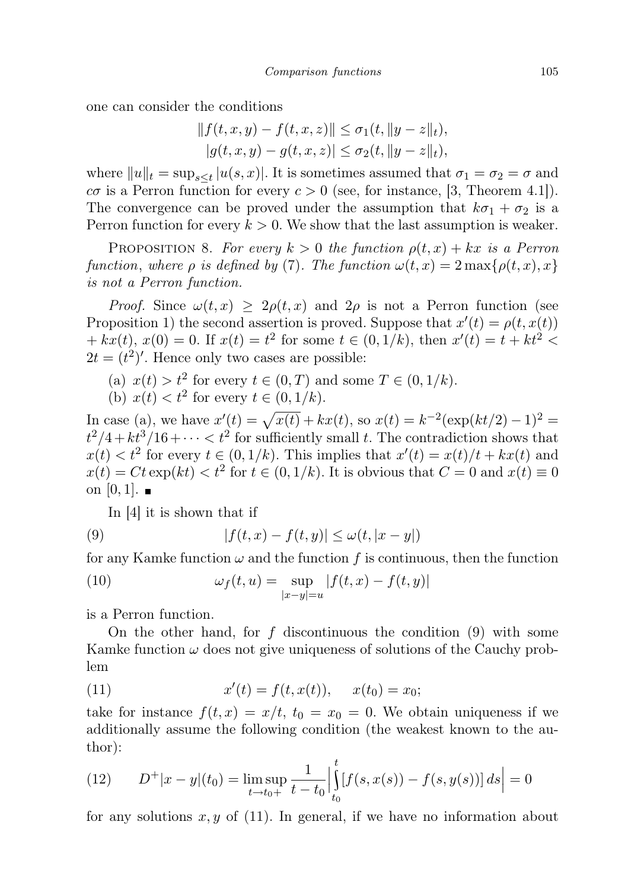one can consider the conditions

$$
|| f(t, x, y) - f(t, x, z)|| \le \sigma_1(t, ||y - z||_t),
$$
  
\n
$$
|g(t, x, y) - g(t, x, z)| \le \sigma_2(t, ||y - z||_t),
$$

where  $||u||_t = \sup_{s \le t} |u(s, x)|$ . It is sometimes assumed that  $\sigma_1 = \sigma_2 = \sigma$  and  $c\sigma$  is a Perron function for every  $c > 0$  (see, for instance, [3, Theorem 4.1]). The convergence can be proved under the assumption that  $k\sigma_1 + \sigma_2$  is a Perron function for every  $k > 0$ . We show that the last assumption is weaker.

PROPOSITION 8. For every  $k > 0$  the function  $\rho(t, x) + kx$  is a Perron function, where  $\rho$  is defined by (7). The function  $\omega(t, x) = 2 \max\{\rho(t, x), x\}$ is not a Perron function.

*Proof.* Since  $\omega(t, x) \geq 2\rho(t, x)$  and  $2\rho$  is not a Perron function (see Proposition 1) the second assertion is proved. Suppose that  $x'(t) = \rho(t, x(t))$  $+ kx(t), x(0) = 0$ . If  $x(t) = t^2$  for some  $t \in (0, 1/k)$ , then  $x'(t) = t + kt^2$  $2t = (t^2)'$ . Hence only two cases are possible:

- (a)  $x(t) > t^2$  for every  $t \in (0, T)$  and some  $T \in (0, 1/k)$ .
- (b)  $x(t) < t^2$  for every  $t \in (0, 1/k)$ .

In case (a), we have  $x'(t) = \sqrt{x(t)} + kx(t)$ , so  $x(t) = k^{-2}(\exp(kt/2) - 1)^2$  $t^2/4 + kt^3/16 + \cdots < t^2$  for sufficiently small t. The contradiction shows that  $x(t) < t^2$  for every  $t \in (0, 1/k)$ . This implies that  $x'(t) = x(t)/t + kx(t)$  and  $x(t) = Ct \exp(kt) < t^2$  for  $t \in (0, 1/k)$ . It is obvious that  $C = 0$  and  $x(t) \equiv 0$ on  $[0, 1]$ .

In [4] it is shown that if

(9) 
$$
|f(t,x) - f(t,y)| \le \omega(t, |x - y|)
$$

for any Kamke function  $\omega$  and the function f is continuous, then the function

(10) 
$$
\omega_f(t, u) = \sup_{|x-y|=u} |f(t, x) - f(t, y)|
$$

is a Perron function.

On the other hand, for  $f$  discontinuous the condition  $(9)$  with some Kamke function  $\omega$  does not give uniqueness of solutions of the Cauchy problem

(11) 
$$
x'(t) = f(t, x(t)), \quad x(t_0) = x_0;
$$

take for instance  $f(t, x) = x/t$ ,  $t_0 = x_0 = 0$ . We obtain uniqueness if we additionally assume the following condition (the weakest known to the author):

(12) 
$$
D^{+}|x-y|(t_0) = \limsup_{t \to t_0+} \frac{1}{t-t_0} \Big| \int_{t_0}^{t} [f(s, x(s)) - f(s, y(s))] ds \Big| = 0
$$

for any solutions  $x, y$  of (11). In general, if we have no information about